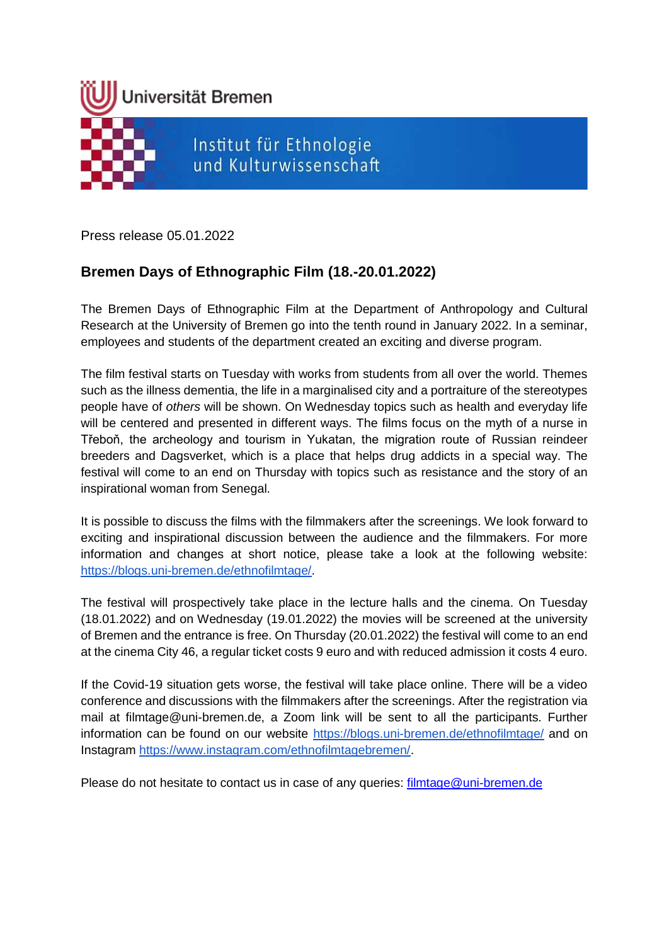

Press release 05.01.2022

# **Bremen Days of Ethnographic Film (18.-20.01.2022)**

The Bremen Days of Ethnographic Film at the Department of Anthropology and Cultural Research at the University of Bremen go into the tenth round in January 2022. In a seminar, employees and students of the department created an exciting and diverse program.

The film festival starts on Tuesday with works from students from all over the world. Themes such as the illness dementia, the life in a marginalised city and a portraiture of the stereotypes people have of *others* will be shown. On Wednesday topics such as health and everyday life will be centered and presented in different ways. The films focus on the myth of a nurse in Třeboň, the archeology and tourism in Yukatan, the migration route of Russian reindeer breeders and Dagsverket, which is a place that helps drug addicts in a special way. The festival will come to an end on Thursday with topics such as resistance and the story of an inspirational woman from Senegal.

It is possible to discuss the films with the filmmakers after the screenings. We look forward to exciting and inspirational discussion between the audience and the filmmakers. For more information and changes at short notice, please take a look at the following website: [https://blogs.uni-bremen.de/ethnofilmtage/.](https://blogs.uni-bremen.de/ethnofilmtage/)

The festival will prospectively take place in the lecture halls and the cinema. On Tuesday (18.01.2022) and on Wednesday (19.01.2022) the movies will be screened at the university of Bremen and the entrance is free. On Thursday (20.01.2022) the festival will come to an end at the cinema City 46, a regular ticket costs 9 euro and with reduced admission it costs 4 euro.

If the Covid-19 situation gets worse, the festival will take place online. There will be a video conference and discussions with the filmmakers after the screenings. After the registration via mail at filmtage@uni-bremen.de, a Zoom link will be sent to all the participants. Further information can be found on our website<https://blogs.uni-bremen.de/ethnofilmtage/> and on Instagram [https://www.instagram.com/ethnofilmtagebremen/.](https://www.instagram.com/ethnofilmtagebremen/)

Please do not hesitate to contact us in case of any queries: [filmtage@uni-bremen.de](mailto:filmtage@uni-bremen.de)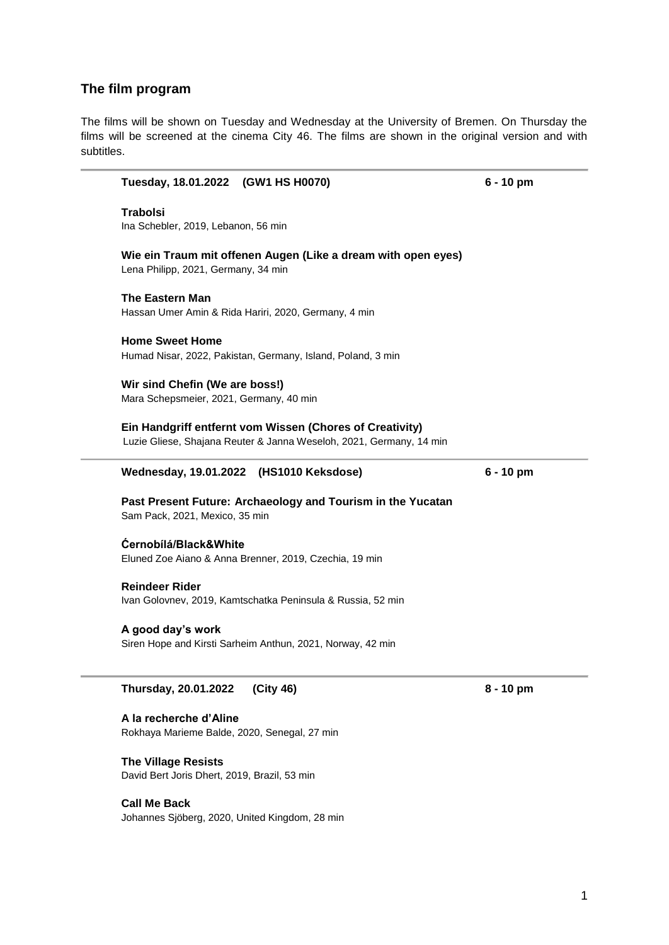### **The film program**

The films will be shown on Tuesday and Wednesday at the University of Bremen. On Thursday the films will be screened at the cinema City 46. The films are shown in the original version and with subtitles.

**Tuesday, 18.01.2022 (GW1 HS H0070) 6 - 10 pm**

| Thursday, 20.01.2022<br>(City 46)                                                                                               | $8 - 10$ pm |
|---------------------------------------------------------------------------------------------------------------------------------|-------------|
|                                                                                                                                 |             |
| A good day's work<br>Siren Hope and Kirsti Sarheim Anthun, 2021, Norway, 42 min                                                 |             |
|                                                                                                                                 |             |
| <b>Reindeer Rider</b><br>Ivan Golovnev, 2019, Kamtschatka Peninsula & Russia, 52 min                                            |             |
|                                                                                                                                 |             |
| Ćernobílá/Black&White<br>Eluned Zoe Aiano & Anna Brenner, 2019, Czechia, 19 min                                                 |             |
| Sam Pack, 2021, Mexico, 35 min                                                                                                  |             |
| Past Present Future: Archaeology and Tourism in the Yucatan                                                                     |             |
| Wednesday, 19.01.2022 (HS1010 Keksdose)                                                                                         | $6 - 10$ pm |
| Ein Handgriff entfernt vom Wissen (Chores of Creativity)<br>Luzie Gliese, Shajana Reuter & Janna Weseloh, 2021, Germany, 14 min |             |
|                                                                                                                                 |             |
| Wir sind Chefin (We are boss!)<br>Mara Schepsmeier, 2021, Germany, 40 min                                                       |             |
| Humad Nisar, 2022, Pakistan, Germany, Island, Poland, 3 min                                                                     |             |
| <b>Home Sweet Home</b>                                                                                                          |             |
| Hassan Umer Amin & Rida Hariri, 2020, Germany, 4 min                                                                            |             |
| <b>The Eastern Man</b>                                                                                                          |             |
| Wie ein Traum mit offenen Augen (Like a dream with open eyes)<br>Lena Philipp, 2021, Germany, 34 min                            |             |
| Ina Schebler, 2019, Lebanon, 56 min                                                                                             |             |
| <b>Trabolsi</b>                                                                                                                 |             |
|                                                                                                                                 |             |

**A la recherche d'Aline**

Rokhaya Marieme Balde, 2020, Senegal, 27 min

**The Village Resists** David Bert Joris Dhert, 2019, Brazil, 53 min

**Call Me Back** Johannes Sjöberg, 2020, United Kingdom, 28 min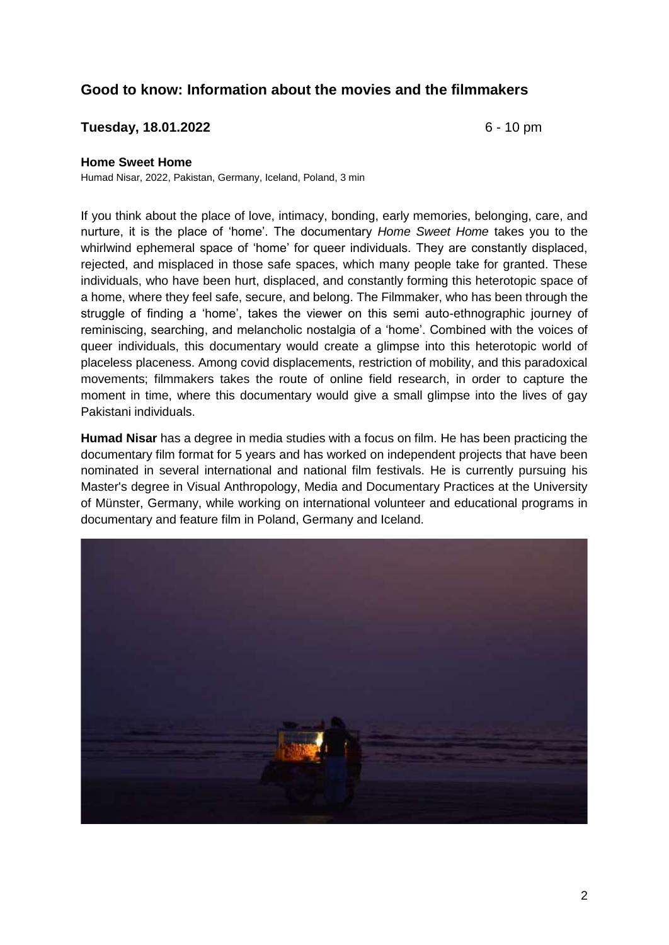# **Good to know: Information about the movies and the filmmakers**

## **Tuesday, 18.01.2022** 6 - 10 pm

#### **Home Sweet Home**

Humad Nisar, 2022, Pakistan, Germany, Iceland, Poland, 3 min

If you think about the place of love, intimacy, bonding, early memories, belonging, care, and nurture, it is the place of 'home'. The documentary *Home Sweet Home* takes you to the whirlwind ephemeral space of 'home' for queer individuals. They are constantly displaced, rejected, and misplaced in those safe spaces, which many people take for granted. These individuals, who have been hurt, displaced, and constantly forming this heterotopic space of a home, where they feel safe, secure, and belong. The Filmmaker, who has been through the struggle of finding a 'home', takes the viewer on this semi auto-ethnographic journey of reminiscing, searching, and melancholic nostalgia of a 'home'. Combined with the voices of queer individuals, this documentary would create a glimpse into this heterotopic world of placeless placeness. Among covid displacements, restriction of mobility, and this paradoxical movements; filmmakers takes the route of online field research, in order to capture the moment in time, where this documentary would give a small glimpse into the lives of gay Pakistani individuals.

**Humad Nisar** has a degree in media studies with a focus on film. He has been practicing the documentary film format for 5 years and has worked on independent projects that have been nominated in several international and national film festivals. He is currently pursuing his Master's degree in Visual Anthropology, Media and Documentary Practices at the University of Münster, Germany, while working on international volunteer and educational programs in documentary and feature film in Poland, Germany and Iceland.

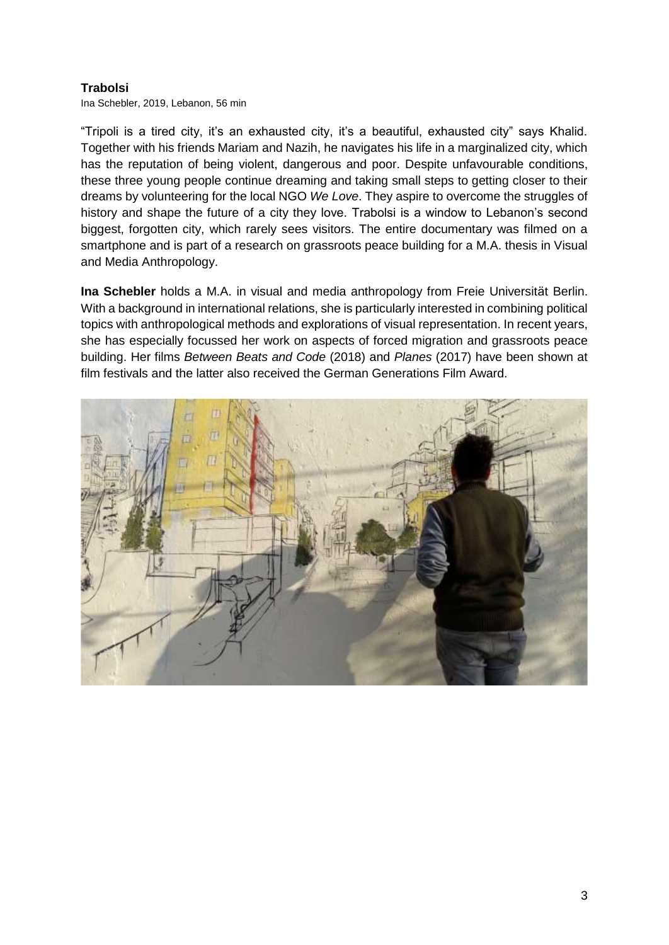## **Trabolsi**

Ina Schebler, 2019, Lebanon, 56 min

"Tripoli is a tired city, it's an exhausted city, it's a beautiful, exhausted city" says Khalid. Together with his friends Mariam and Nazih, he navigates his life in a marginalized city, which has the reputation of being violent, dangerous and poor. Despite unfavourable conditions, these three young people continue dreaming and taking small steps to getting closer to their dreams by volunteering for the local NGO *We Love*. They aspire to overcome the struggles of history and shape the future of a city they love. Trabolsi is a window to Lebanon's second biggest, forgotten city, which rarely sees visitors. The entire documentary was filmed on a smartphone and is part of a research on grassroots peace building for a M.A. thesis in Visual and Media Anthropology.

**Ina Schebler** holds a M.A. in visual and media anthropology from Freie Universität Berlin. With a background in international relations, she is particularly interested in combining political topics with anthropological methods and explorations of visual representation. In recent years, she has especially focussed her work on aspects of forced migration and grassroots peace building. Her films *Between Beats and Code* (2018) and *Planes* (2017) have been shown at film festivals and the latter also received the German Generations Film Award.

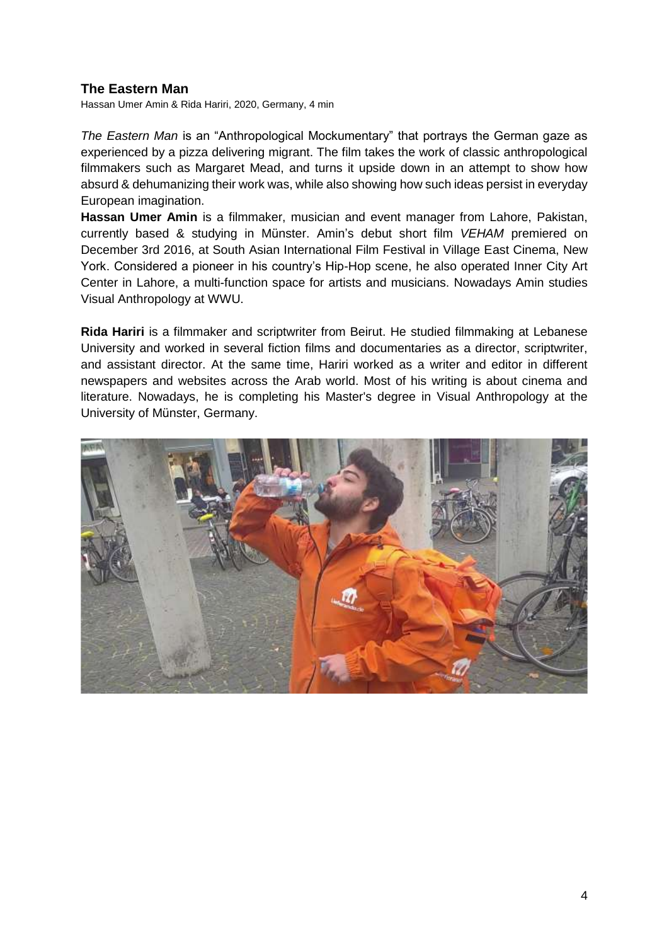## **The Eastern Man**

Hassan Umer Amin & Rida Hariri, 2020, Germany, 4 min

*The Eastern Man* is an "Anthropological Mockumentary" that portrays the German gaze as experienced by a pizza delivering migrant. The film takes the work of classic anthropological filmmakers such as Margaret Mead, and turns it upside down in an attempt to show how absurd & dehumanizing their work was, while also showing how such ideas persist in everyday European imagination.

**Hassan Umer Amin** is a filmmaker, musician and event manager from Lahore, Pakistan, currently based & studying in Münster. Amin's debut short film *VEHAM* premiered on December 3rd 2016, at South Asian International Film Festival in Village East Cinema, New York. Considered a pioneer in his country's Hip-Hop scene, he also operated Inner City Art Center in Lahore, a multi-function space for artists and musicians. Nowadays Amin studies Visual Anthropology at WWU.

**Rida Hariri** is a filmmaker and scriptwriter from Beirut. He studied filmmaking at Lebanese University and worked in several fiction films and documentaries as a director, scriptwriter, and assistant director. At the same time, Hariri worked as a writer and editor in different newspapers and websites across the Arab world. Most of his writing is about cinema and literature. Nowadays, he is completing his Master's degree in Visual Anthropology at the University of Münster, Germany.

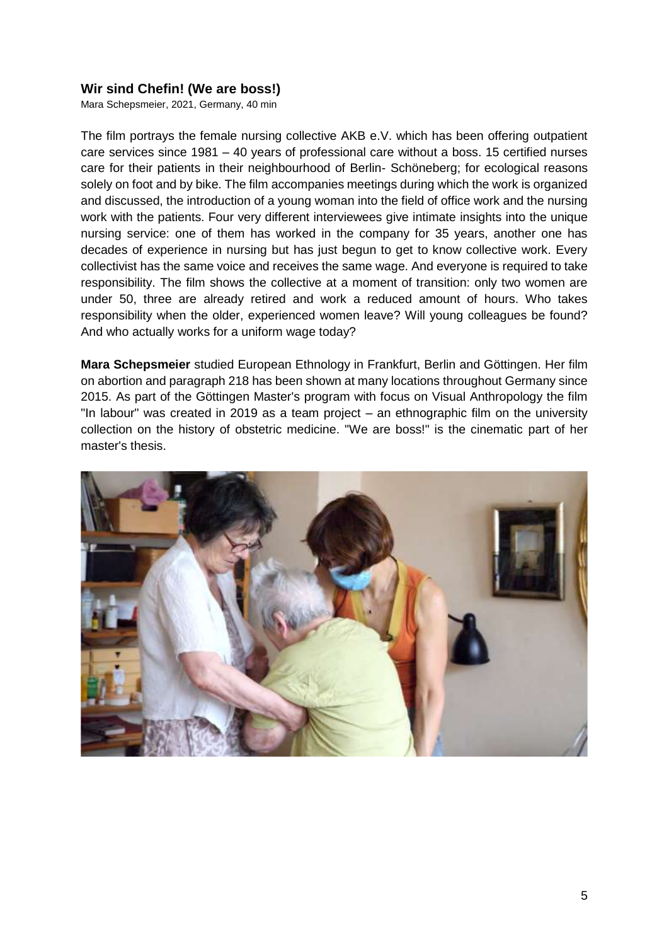## **Wir sind Chefin! (We are boss!)**

Mara Schepsmeier, 2021, Germany, 40 min

The film portrays the female nursing collective AKB e.V. which has been offering outpatient care services since 1981 – 40 years of professional care without a boss. 15 certified nurses care for their patients in their neighbourhood of Berlin- Schöneberg; for ecological reasons solely on foot and by bike. The film accompanies meetings during which the work is organized and discussed, the introduction of a young woman into the field of office work and the nursing work with the patients. Four very different interviewees give intimate insights into the unique nursing service: one of them has worked in the company for 35 years, another one has decades of experience in nursing but has just begun to get to know collective work. Every collectivist has the same voice and receives the same wage. And everyone is required to take responsibility. The film shows the collective at a moment of transition: only two women are under 50, three are already retired and work a reduced amount of hours. Who takes responsibility when the older, experienced women leave? Will young colleagues be found? And who actually works for a uniform wage today?

**Mara Schepsmeier** studied European Ethnology in Frankfurt, Berlin and Göttingen. Her film on abortion and paragraph 218 has been shown at many locations throughout Germany since 2015. As part of the Göttingen Master's program with focus on Visual Anthropology the film "In labour" was created in 2019 as a team project – an ethnographic film on the university collection on the history of obstetric medicine. "We are boss!" is the cinematic part of her master's thesis.

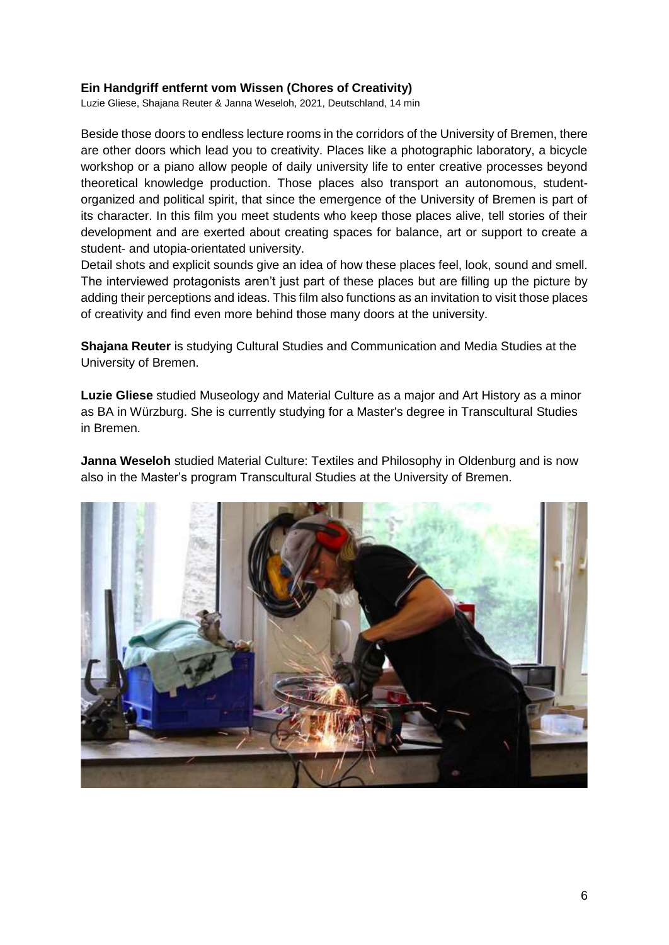### **Ein Handgriff entfernt vom Wissen (Chores of Creativity)**

Luzie Gliese, Shajana Reuter & Janna Weseloh, 2021, Deutschland, 14 min

Beside those doors to endless lecture rooms in the corridors of the University of Bremen, there are other doors which lead you to creativity. Places like a photographic laboratory, a bicycle workshop or a piano allow people of daily university life to enter creative processes beyond theoretical knowledge production. Those places also transport an autonomous, studentorganized and political spirit, that since the emergence of the University of Bremen is part of its character. In this film you meet students who keep those places alive, tell stories of their development and are exerted about creating spaces for balance, art or support to create a student- and utopia-orientated university.

Detail shots and explicit sounds give an idea of how these places feel, look, sound and smell. The interviewed protagonists aren't just part of these places but are filling up the picture by adding their perceptions and ideas. This film also functions as an invitation to visit those places of creativity and find even more behind those many doors at the university.

**Shajana Reuter** is studying Cultural Studies and Communication and Media Studies at the University of Bremen.

**Luzie Gliese** studied Museology and Material Culture as a major and Art History as a minor as BA in Würzburg. She is currently studying for a Master's degree in Transcultural Studies in Bremen.

**Janna Weseloh** studied Material Culture: Textiles and Philosophy in Oldenburg and is now also in the Master's program Transcultural Studies at the University of Bremen.

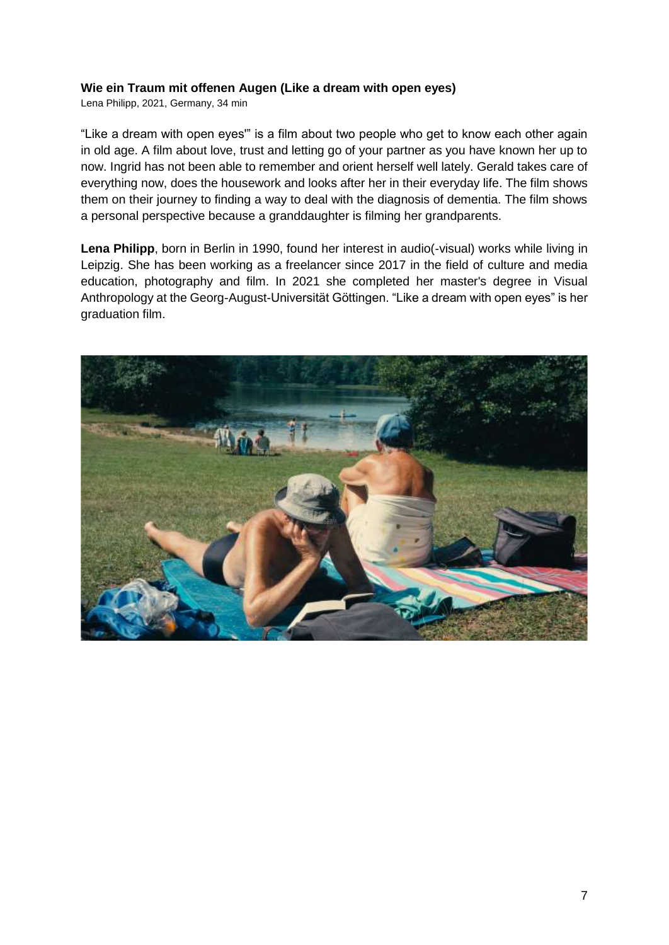### **Wie ein Traum mit offenen Augen (Like a dream with open eyes)**

Lena Philipp, 2021, Germany, 34 min

"Like a dream with open eyes'" is a film about two people who get to know each other again in old age. A film about love, trust and letting go of your partner as you have known her up to now. Ingrid has not been able to remember and orient herself well lately. Gerald takes care of everything now, does the housework and looks after her in their everyday life. The film shows them on their journey to finding a way to deal with the diagnosis of dementia. The film shows a personal perspective because a granddaughter is filming her grandparents.

Lena Philipp, born in Berlin in 1990, found her interest in audio(-visual) works while living in Leipzig. She has been working as a freelancer since 2017 in the field of culture and media education, photography and film. In 2021 she completed her master's degree in Visual Anthropology at the Georg-August-Universität Göttingen. "Like a dream with open eyes" is her graduation film.

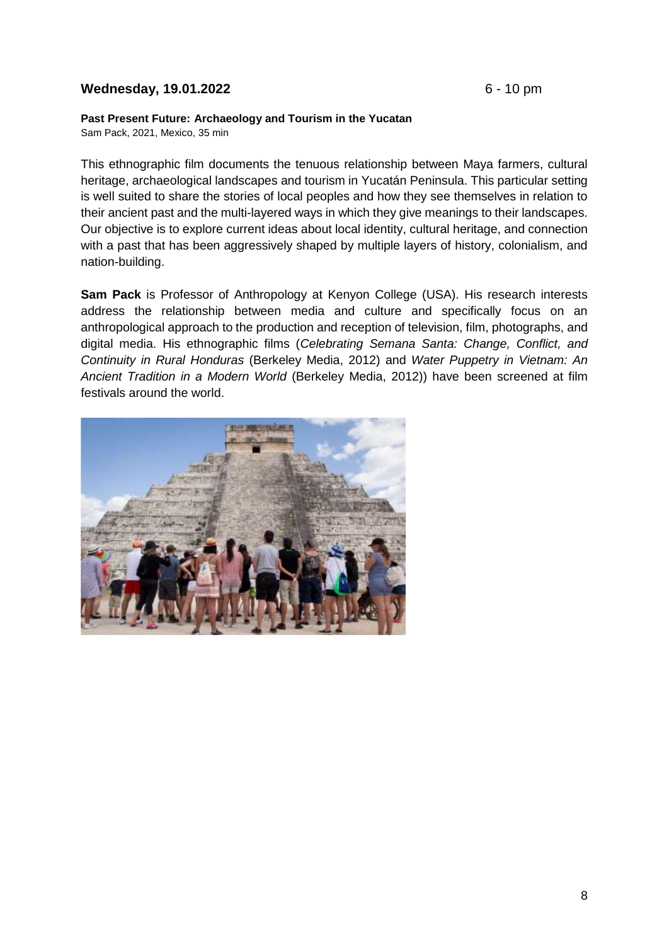## **Wednesday, 19.01.2022** 6 - 10 pm

#### **Past Present Future: Archaeology and Tourism in the Yucatan**

Sam Pack, 2021, Mexico, 35 min

This ethnographic film documents the tenuous relationship between Maya farmers, cultural heritage, archaeological landscapes and tourism in Yucatán Peninsula. This particular setting is well suited to share the stories of local peoples and how they see themselves in relation to their ancient past and the multi-layered ways in which they give meanings to their landscapes. Our objective is to explore current ideas about local identity, cultural heritage, and connection with a past that has been aggressively shaped by multiple layers of history, colonialism, and nation-building.

**Sam Pack** is Professor of Anthropology at Kenyon College (USA). His research interests address the relationship between media and culture and specifically focus on an anthropological approach to the production and reception of television, film, photographs, and digital media. His ethnographic films (*Celebrating Semana Santa: Change, Conflict, and Continuity in Rural Honduras* (Berkeley Media, 2012) and *Water Puppetry in Vietnam: An Ancient Tradition in a Modern World* (Berkeley Media, 2012)) have been screened at film festivals around the world.

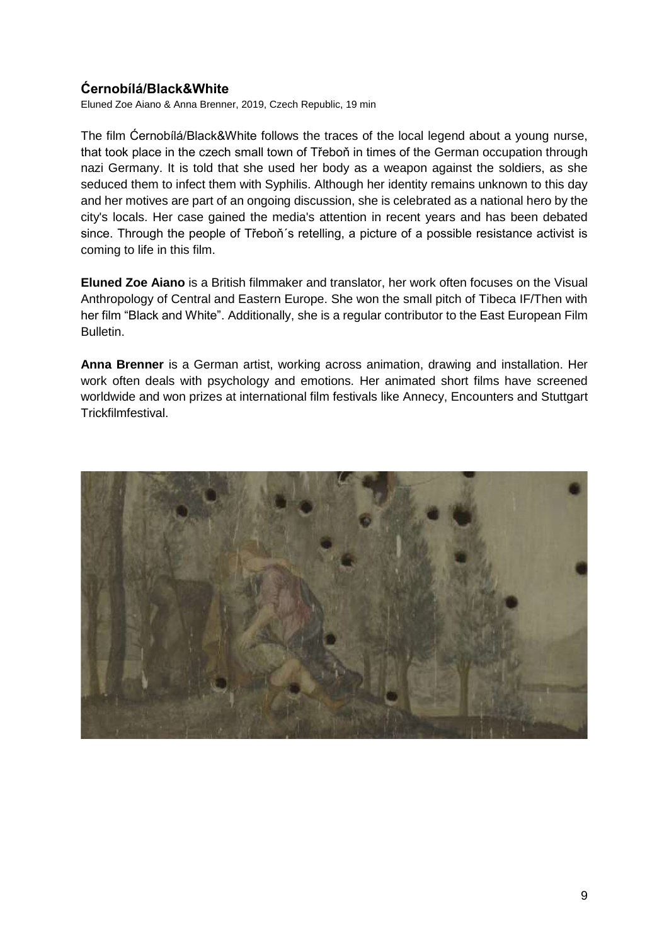# **Ćernobílá/Black&White**

Eluned Zoe Aiano & Anna Brenner, 2019, Czech Republic, 19 min

The film Ćernobílá/Black&White follows the traces of the local legend about a young nurse, that took place in the czech small town of Třeboň in times of the German occupation through nazi Germany. It is told that she used her body as a weapon against the soldiers, as she seduced them to infect them with Syphilis. Although her identity remains unknown to this day and her motives are part of an ongoing discussion, she is celebrated as a national hero by the city's locals. Her case gained the media's attention in recent years and has been debated since. Through the people of Třeboň's retelling, a picture of a possible resistance activist is coming to life in this film.

**Eluned Zoe Aiano** is a British filmmaker and translator, her work often focuses on the Visual Anthropology of Central and Eastern Europe. She won the small pitch of Tibeca IF/Then with her film "Black and White". Additionally, she is a regular contributor to the East European Film Bulletin.

**Anna Brenner** is a German artist, working across animation, drawing and installation. Her work often deals with psychology and emotions. Her animated short films have screened worldwide and won prizes at international film festivals like Annecy, Encounters and Stuttgart Trickfilmfestival.

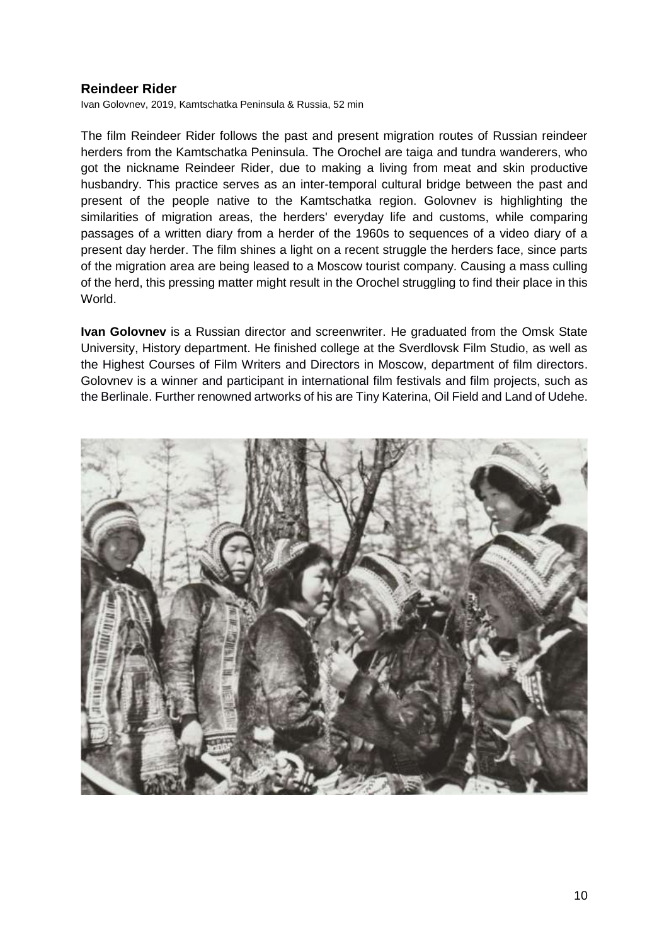## **Reindeer Rider**

Ivan Golovnev, 2019, Kamtschatka Peninsula & Russia, 52 min

The film Reindeer Rider follows the past and present migration routes of Russian reindeer herders from the Kamtschatka Peninsula. The Orochel are taiga and tundra wanderers, who got the nickname Reindeer Rider, due to making a living from meat and skin productive husbandry. This practice serves as an inter-temporal cultural bridge between the past and present of the people native to the Kamtschatka region. Golovnev is highlighting the similarities of migration areas, the herders' everyday life and customs, while comparing passages of a written diary from a herder of the 1960s to sequences of a video diary of a present day herder. The film shines a light on a recent struggle the herders face, since parts of the migration area are being leased to a Moscow tourist company. Causing a mass culling of the herd, this pressing matter might result in the Orochel struggling to find their place in this World.

**Ivan Golovnev** is a Russian director and screenwriter. He graduated from the Omsk State University, History department. He finished college at the Sverdlovsk Film Studio, as well as the Highest Courses of Film Writers and Directors in Moscow, department of film directors. Golovnev is a winner and participant in international film festivals and film projects, such as the Berlinale. Further renowned artworks of his are Tiny Katerina, Oil Field and Land of Udehe.

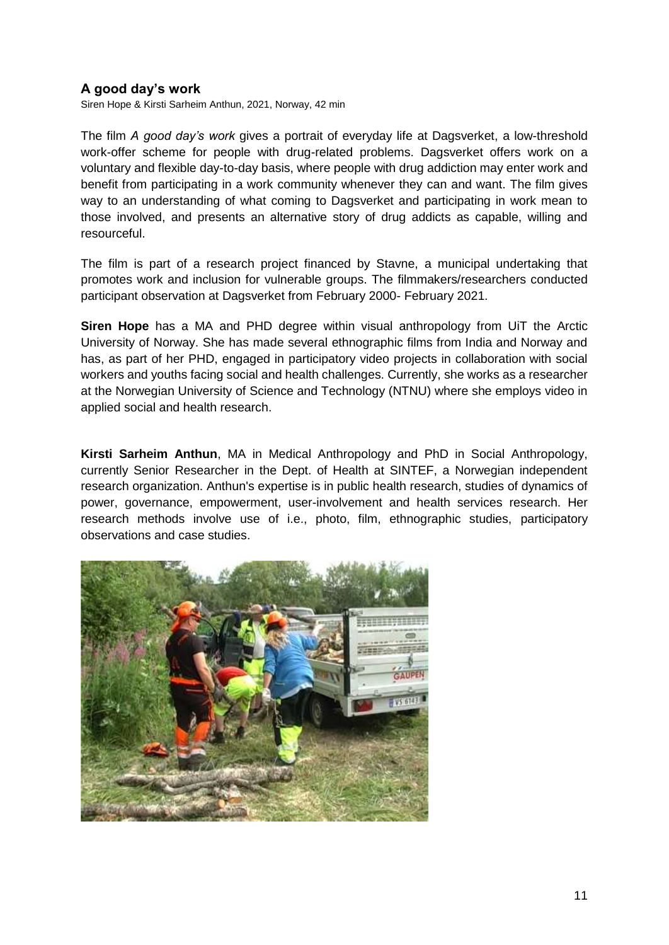# **A good day's work**

Siren Hope & Kirsti Sarheim Anthun, 2021, Norway, 42 min

The film *A good day's work* gives a portrait of everyday life at Dagsverket, a low-threshold work-offer scheme for people with drug-related problems. Dagsverket offers work on a voluntary and flexible day-to-day basis, where people with drug addiction may enter work and benefit from participating in a work community whenever they can and want. The film gives way to an understanding of what coming to Dagsverket and participating in work mean to those involved, and presents an alternative story of drug addicts as capable, willing and resourceful.

The film is part of a research project financed by Stavne, a municipal undertaking that promotes work and inclusion for vulnerable groups. The filmmakers/researchers conducted participant observation at Dagsverket from February 2000- February 2021.

**Siren Hope** has a MA and PHD degree within visual anthropology from UiT the Arctic University of Norway. She has made several ethnographic films from India and Norway and has, as part of her PHD, engaged in participatory video projects in collaboration with social workers and youths facing social and health challenges. Currently, she works as a researcher at the Norwegian University of Science and Technology (NTNU) where she employs video in applied social and health research.

**Kirsti Sarheim Anthun**, MA in Medical Anthropology and PhD in Social Anthropology, currently Senior Researcher in the Dept. of Health at SINTEF, a Norwegian independent research organization. Anthun's expertise is in public health research, studies of dynamics of power, governance, empowerment, user-involvement and health services research. Her research methods involve use of i.e., photo, film, ethnographic studies, participatory observations and case studies.

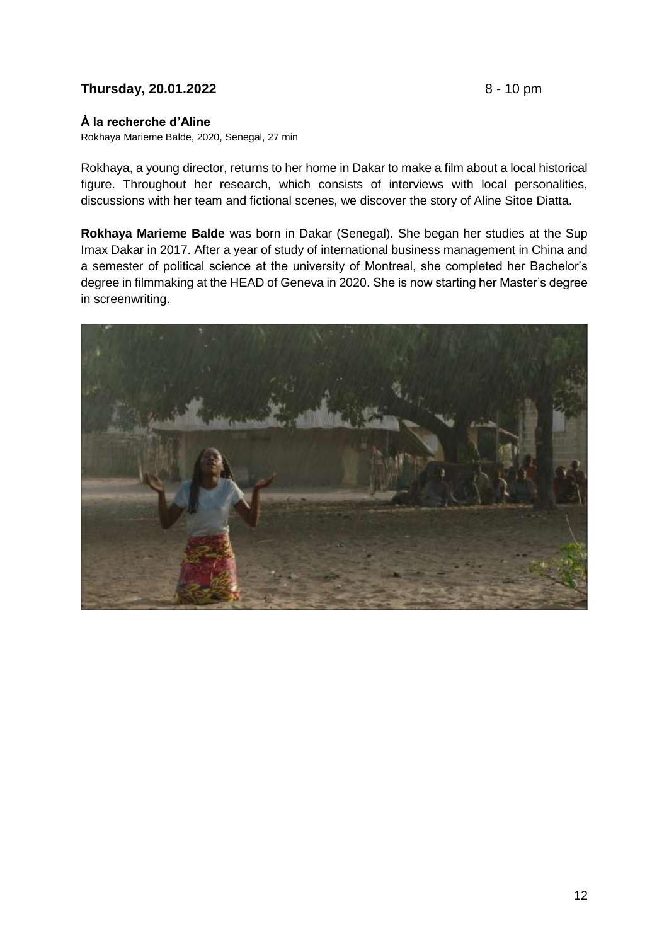## **Thursday, 20.01.2022** 8 - 10 pm

### **À la recherche d'Aline**

Rokhaya Marieme Balde, 2020, Senegal, 27 min

Rokhaya, a young director, returns to her home in Dakar to make a film about a local historical figure. Throughout her research, which consists of interviews with local personalities, discussions with her team and fictional scenes, we discover the story of Aline Sitoe Diatta.

**Rokhaya Marieme Balde** was born in Dakar (Senegal). She began her studies at the Sup Imax Dakar in 2017. After a year of study of international business management in China and a semester of political science at the university of Montreal, she completed her Bachelor's degree in filmmaking at the HEAD of Geneva in 2020. She is now starting her Master's degree in screenwriting.

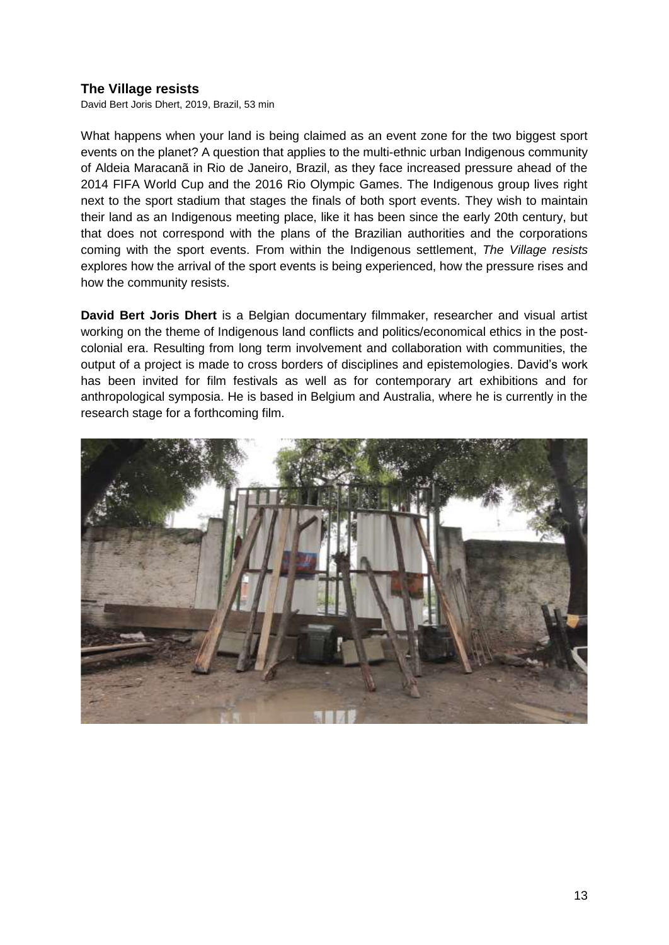## **The Village resists**

David Bert Joris Dhert, 2019, Brazil, 53 min

What happens when your land is being claimed as an event zone for the two biggest sport events on the planet? A question that applies to the multi-ethnic urban Indigenous community of Aldeia Maracanã in Rio de Janeiro, Brazil, as they face increased pressure ahead of the 2014 FIFA World Cup and the 2016 Rio Olympic Games. The Indigenous group lives right next to the sport stadium that stages the finals of both sport events. They wish to maintain their land as an Indigenous meeting place, like it has been since the early 20th century, but that does not correspond with the plans of the Brazilian authorities and the corporations coming with the sport events. From within the Indigenous settlement, *The Village resists* explores how the arrival of the sport events is being experienced, how the pressure rises and how the community resists.

**David Bert Joris Dhert** is a Belgian documentary filmmaker, researcher and visual artist working on the theme of Indigenous land conflicts and politics/economical ethics in the postcolonial era. Resulting from long term involvement and collaboration with communities, the output of a project is made to cross borders of disciplines and epistemologies. David's work has been invited for film festivals as well as for contemporary art exhibitions and for anthropological symposia. He is based in Belgium and Australia, where he is currently in the research stage for a forthcoming film.